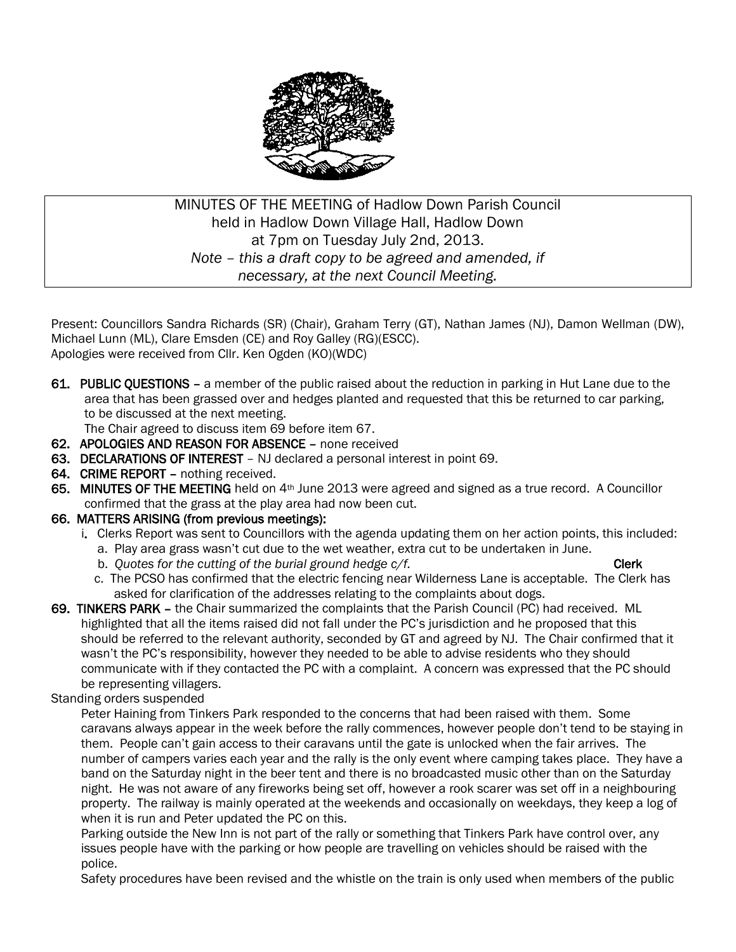

# MINUTES OF THE MEETING of Hadlow Down Parish Council held in Hadlow Down Village Hall, Hadlow Down at 7pm on Tuesday July 2nd, 2013. *Note – this a draft copy to be agreed and amended, if necessary, at the next Council Meeting.*

Present: Councillors Sandra Richards (SR) (Chair), Graham Terry (GT), Nathan James (NJ), Damon Wellman (DW), Michael Lunn (ML), Clare Emsden (CE) and Roy Galley (RG)(ESCC). Apologies were received from Cllr. Ken Ogden (KO)(WDC)

61. PUBLIC QUESTIONS – a member of the public raised about the reduction in parking in Hut Lane due to the area that has been grassed over and hedges planted and requested that this be returned to car parking, to be discussed at the next meeting.

The Chair agreed to discuss item 69 before item 67.

- 62. APOLOGIES AND REASON FOR ABSENCE none received
- 63. DECLARATIONS OF INTEREST NJ declared a personal interest in point 69.
- 64. CRIME REPORT nothing received.
- 65. MINUTES OF THE MEETING held on 4<sup>th</sup> June 2013 were agreed and signed as a true record. A Councillor confirmed that the grass at the play area had now been cut.

### 66. MATTERS ARISING (from previous meetings):

- i. Clerks Report was sent to Councillors with the agenda updating them on her action points, this included:
	- a. Play area grass wasn't cut due to the wet weather, extra cut to be undertaken in June.
	- b. Quotes for the cutting of the burial ground hedge  $c/f$ .
	- c. The PCSO has confirmed that the electric fencing near Wilderness Lane is acceptable. The Clerk has asked for clarification of the addresses relating to the complaints about dogs.
- 69. TINKERS PARK the Chair summarized the complaints that the Parish Council (PC) had received. ML highlighted that all the items raised did not fall under the PC's jurisdiction and he proposed that this should be referred to the relevant authority, seconded by GT and agreed by NJ. The Chair confirmed that it wasn't the PC's responsibility, however they needed to be able to advise residents who they should communicate with if they contacted the PC with a complaint. A concern was expressed that the PC should be representing villagers.

### Standing orders suspended

 Peter Haining from Tinkers Park responded to the concerns that had been raised with them. Some caravans always appear in the week before the rally commences, however people don't tend to be staying in them. People can't gain access to their caravans until the gate is unlocked when the fair arrives. The number of campers varies each year and the rally is the only event where camping takes place. They have a band on the Saturday night in the beer tent and there is no broadcasted music other than on the Saturday night. He was not aware of any fireworks being set off, however a rook scarer was set off in a neighbouring property. The railway is mainly operated at the weekends and occasionally on weekdays, they keep a log of when it is run and Peter updated the PC on this.

 Parking outside the New Inn is not part of the rally or something that Tinkers Park have control over, any issues people have with the parking or how people are travelling on vehicles should be raised with the police.

Safety procedures have been revised and the whistle on the train is only used when members of the public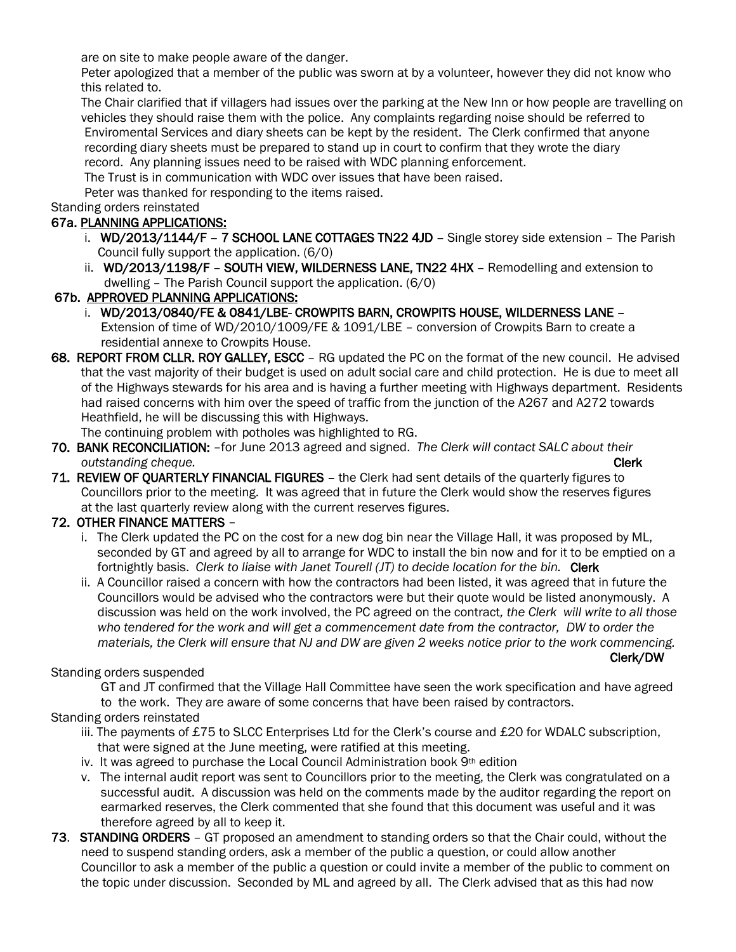are on site to make people aware of the danger.

 Peter apologized that a member of the public was sworn at by a volunteer, however they did not know who this related to.

 The Chair clarified that if villagers had issues over the parking at the New Inn or how people are travelling on vehicles they should raise them with the police. Any complaints regarding noise should be referred to Enviromental Services and diary sheets can be kept by the resident. The Clerk confirmed that anyone recording diary sheets must be prepared to stand up in court to confirm that they wrote the diary record. Any planning issues need to be raised with WDC planning enforcement.

The Trust is in communication with WDC over issues that have been raised.

Peter was thanked for responding to the items raised.

Standing orders reinstated

# 67a. PLANNING APPLICATIONS:

- i. WD/2013/1144/F 7 SCHOOL LANE COTTAGES TN22 4JD Single storey side extension The Parish Council fully support the application. (6/0)
- ii. WD/2013/1198/F SOUTH VIEW, WILDERNESS LANE, TN22 4HX Remodelling and extension to dwelling – The Parish Council support the application. (6/0)

# 67b. APPROVED PLANNING APPLICATIONS:

- i. WD/2013/0840/FE & 0841/LBE- CROWPITS BARN, CROWPITS HOUSE, WILDERNESS LANE Extension of time of WD/2010/1009/FE & 1091/LBE – conversion of Crowpits Barn to create a residential annexe to Crowpits House.
- 68. REPORT FROM CLLR. ROY GALLEY, ESCC RG updated the PC on the format of the new council. He advised that the vast majority of their budget is used on adult social care and child protection. He is due to meet all of the Highways stewards for his area and is having a further meeting with Highways department. Residents had raised concerns with him over the speed of traffic from the junction of the A267 and A272 towards Heathfield, he will be discussing this with Highways.

The continuing problem with potholes was highlighted to RG.

- 70. BANK RECONCILIATION: –for June 2013 agreed and signed. *The Clerk will contact SALC about their <u>outstanding cheque.</u> Olerk Clerk Clerk Clerk Clerk Clerk*
- 71. REVIEW OF QUARTERLY FINANCIAL FIGURES the Clerk had sent details of the quarterly figures to Councillors prior to the meeting. It was agreed that in future the Clerk would show the reserves figures at the last quarterly review along with the current reserves figures.

# 72. OTHER FINANCE MATTERS –

- i. The Clerk updated the PC on the cost for a new dog bin near the Village Hall, it was proposed by ML, seconded by GT and agreed by all to arrange for WDC to install the bin now and for it to be emptied on a fortnightly basis. *Clerk to liaise with Janet Tourell (JT) to decide location for the bin.* Clerk
- ii. A Councillor raised a concern with how the contractors had been listed, it was agreed that in future the Councillors would be advised who the contractors were but their quote would be listed anonymously. A discussion was held on the work involved, the PC agreed on the contract*, the Clerk will write to all those who tendered for the work and will get a commencement date from the contractor, DW to order the materials, the Clerk will ensure that NJ and DW are given 2 weeks notice prior to the work commencing.* Clerk/DW

# Standing orders suspended

 GT and JT confirmed that the Village Hall Committee have seen the work specification and have agreed to the work. They are aware of some concerns that have been raised by contractors.

Standing orders reinstated

- iii. The payments of £75 to SLCC Enterprises Ltd for the Clerk's course and £20 for WDALC subscription, that were signed at the June meeting, were ratified at this meeting.
- iv. It was agreed to purchase the Local Council Administration book  $9<sup>th</sup>$  edition
- v. The internal audit report was sent to Councillors prior to the meeting, the Clerk was congratulated on a successful audit. A discussion was held on the comments made by the auditor regarding the report on earmarked reserves, the Clerk commented that she found that this document was useful and it was therefore agreed by all to keep it.
- 73. STANDING ORDERS GT proposed an amendment to standing orders so that the Chair could, without the need to suspend standing orders, ask a member of the public a question, or could allow another Councillor to ask a member of the public a question or could invite a member of the public to comment on the topic under discussion. Seconded by ML and agreed by all. The Clerk advised that as this had now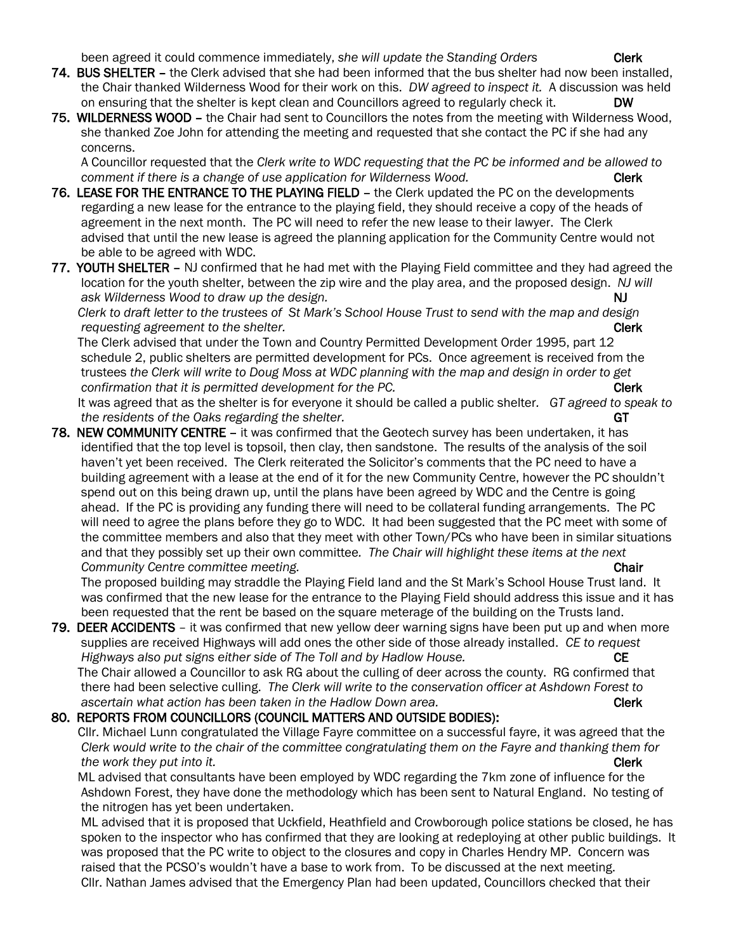been agreed it could commence immediately, she will update the Standing Orders **Clerk** 

- 74. BUS SHELTER the Clerk advised that she had been informed that the bus shelter had now been installed, the Chair thanked Wilderness Wood for their work on this. *DW agreed to inspect it.* A discussion was held on ensuring that the shelter is kept clean and Councillors agreed to regularly check it. DW
- 75. WILDERNESS WOOD the Chair had sent to Councillors the notes from the meeting with Wilderness Wood, she thanked Zoe John for attending the meeting and requested that she contact the PC if she had any concerns.

 A Councillor requested that the *Clerk write to WDC requesting that the PC be informed and be allowed to comment if there is a change of use application for Wilderness Wood.* Clerk

- 76. LEASE FOR THE ENTRANCE TO THE PLAYING FIELD the Clerk updated the PC on the developments regarding a new lease for the entrance to the playing field, they should receive a copy of the heads of agreement in the next month. The PC will need to refer the new lease to their lawyer. The Clerk advised that until the new lease is agreed the planning application for the Community Centre would not be able to be agreed with WDC.
- 77. YOUTH SHELTER NJ confirmed that he had met with the Playing Field committee and they had agreed the location for the youth shelter, between the zip wire and the play area, and the proposed design. *NJ will*  ask Wilderness Wood to draw up the design. **All and the set of the set of the set of the set of the set of the s**

 *Clerk to draft letter to the trustees of St Mark's School House Trust to send with the map and design requesting agreement to the shelter.* Clerk and the shelter and the shelter and the shelter and the shelter and the shelter and the shelter and the shelter and the shelter and the shelter and the shelter and the shelter

 The Clerk advised that under the Town and Country Permitted Development Order 1995, part 12 schedule 2, public shelters are permitted development for PCs. Once agreement is received from the trustees *the Clerk will write to Doug Moss at WDC planning with the map and design in order to get confirmation that it is permitted development for the PC.* **The same of the PC clerk Clerk Clerk Clerk contained by**  $\mathbb{C}$ 

 It was agreed that as the shelter is for everyone it should be called a public shelter*. GT agreed to speak to the residents of the Oaks regarding the shelter.* **GT** *GT* 

78. NEW COMMUNITY CENTRE – it was confirmed that the Geotech survey has been undertaken, it has identified that the top level is topsoil, then clay, then sandstone. The results of the analysis of the soil haven't yet been received. The Clerk reiterated the Solicitor's comments that the PC need to have a building agreement with a lease at the end of it for the new Community Centre, however the PC shouldn't spend out on this being drawn up, until the plans have been agreed by WDC and the Centre is going ahead. If the PC is providing any funding there will need to be collateral funding arrangements. The PC will need to agree the plans before they go to WDC. It had been suggested that the PC meet with some of the committee members and also that they meet with other Town/PCs who have been in similar situations and that they possibly set up their own committee*. The Chair will highlight these items at the next Community Centre committee meeting.* **Chair Chair Chair Chair Chair Chair Chair Chair Chair Chair Chair Chair Chair Chair Chair Chair Chair Chair Chair Chair Chair Chair Chair** 

 The proposed building may straddle the Playing Field land and the St Mark's School House Trust land. It was confirmed that the new lease for the entrance to the Playing Field should address this issue and it has been requested that the rent be based on the square meterage of the building on the Trusts land.

79. DEER ACCIDENTS – it was confirmed that new yellow deer warning signs have been put up and when more supplies are received Highways will add ones the other side of those already installed. *CE to request Highways also put signs either side of The Toll and by Hadlow House.* CE

 The Chair allowed a Councillor to ask RG about the culling of deer across the county. RG confirmed that there had been selective culling. *The Clerk will write to the conservation officer at Ashdown Forest to* ascertain what action has been taken in the Hadlow Down area. **Clerk Clerk** 

#### 80. REPORTS FROM COUNCILLORS (COUNCIL MATTERS AND OUTSIDE BODIES):

 Cllr. Michael Lunn congratulated the Village Fayre committee on a successful fayre, it was agreed that the *Clerk would write to the chair of the committee congratulating them on the Fayre and thanking them for the work they put into it.* Clerk

 ML advised that consultants have been employed by WDC regarding the 7km zone of influence for the Ashdown Forest, they have done the methodology which has been sent to Natural England. No testing of the nitrogen has yet been undertaken.

 ML advised that it is proposed that Uckfield, Heathfield and Crowborough police stations be closed, he has spoken to the inspector who has confirmed that they are looking at redeploying at other public buildings. It was proposed that the PC write to object to the closures and copy in Charles Hendry MP. Concern was raised that the PCSO's wouldn't have a base to work from. To be discussed at the next meeting. Cllr. Nathan James advised that the Emergency Plan had been updated, Councillors checked that their